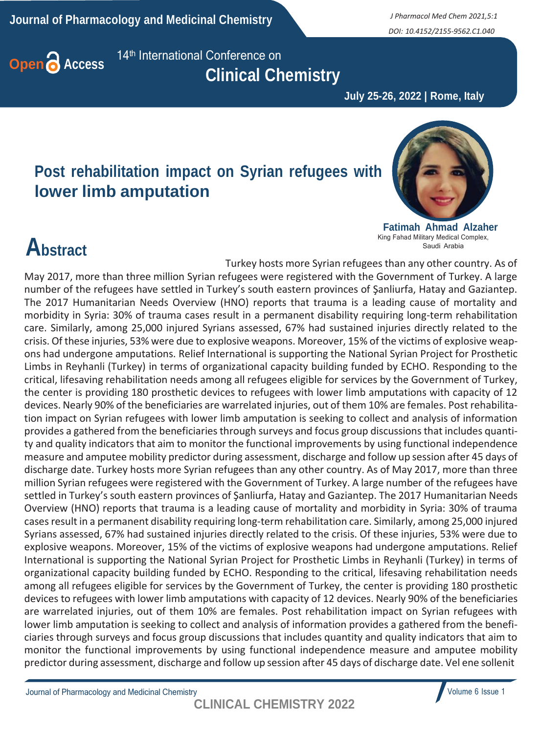**Journal of Pharmacology and Medicinal Chemistry** *J Pharmacol Med Chem 2021,5:1*

*DOI: 10.4152/2155-9562.C1.040*



**Open Access** 14<sup>th</sup> International Conference on  **Clinical Chemistry**

 **July 25-26, 2022 | Rome, Italy**

#### **Post rehabilitation impact on Syrian refugees with lower limb amputation**



**Fatimah Ahmad Alzaher** King Fahad Military Medical Complex, Saudi Arabia

Turkey hosts more Syrian refugees than any other country. As of

## **Abstract**

May 2017, more than three million Syrian refugees were registered with the Government of Turkey. A large number of the refugees have settled in Turkey's south eastern provinces of Şanliurfa, Hatay and Gaziantep. The 2017 Humanitarian Needs Overview (HNO) reports that trauma is a leading cause of mortality and morbidity in Syria: 30% of trauma cases result in a permanent disability requiring long-term rehabilitation care. Similarly, among 25,000 injured Syrians assessed, 67% had sustained injuries directly related to the crisis. Of these injuries, 53% were due to explosive weapons. Moreover, 15% of the victims of explosive weapons had undergone amputations. Relief International is supporting the National Syrian Project for Prosthetic Limbs in Reyhanli (Turkey) in terms of organizational capacity building funded by ECHO. Responding to the critical, lifesaving rehabilitation needs among all refugees eligible for services by the Government of Turkey, the center is providing 180 prosthetic devices to refugees with lower limb amputations with capacity of 12 devices. Nearly 90% of the beneficiaries are warrelated injuries, out of them 10% are females. Post rehabilitation impact on Syrian refugees with lower limb amputation is seeking to collect and analysis of information provides a gathered from the beneficiaries through surveys and focus group discussions that includes quantity and quality indicators that aim to monitor the functional improvements by using functional independence measure and amputee mobility predictor during assessment, discharge and follow up session after 45 days of discharge date. Turkey hosts more Syrian refugees than any other country. As of May 2017, more than three million Syrian refugees were registered with the Government of Turkey. A large number of the refugees have settled in Turkey's south eastern provinces of Şanliurfa, Hatay and Gaziantep. The 2017 Humanitarian Needs Overview (HNO) reports that trauma is a leading cause of mortality and morbidity in Syria: 30% of trauma casesresult in a permanent disability requiring long-term rehabilitation care. Similarly, among 25,000 injured Syrians assessed, 67% had sustained injuries directly related to the crisis. Of these injuries, 53% were due to explosive weapons. Moreover, 15% of the victims of explosive weapons had undergone amputations. Relief International is supporting the National Syrian Project for Prosthetic Limbs in Reyhanli (Turkey) in terms of organizational capacity building funded by ECHO. Responding to the critical, lifesaving rehabilitation needs

among all refugees eligible for services by the Government of Turkey, the center is providing 180 prosthetic devices to refugees with lower limb amputations with capacity of 12 devices. Nearly 90% of the beneficiaries are warrelated injuries, out of them 10% are females. Post rehabilitation impact on Syrian refugees with lower limb amputation is seeking to collect and analysis of information provides a gathered from the beneficiaries through surveys and focus group discussions that includes quantity and quality indicators that aim to monitor the functional improvements by using functional independence measure and amputee mobility predictor during assessment, discharge and follow up session after 45 days of discharge date. Vel ene sollenit